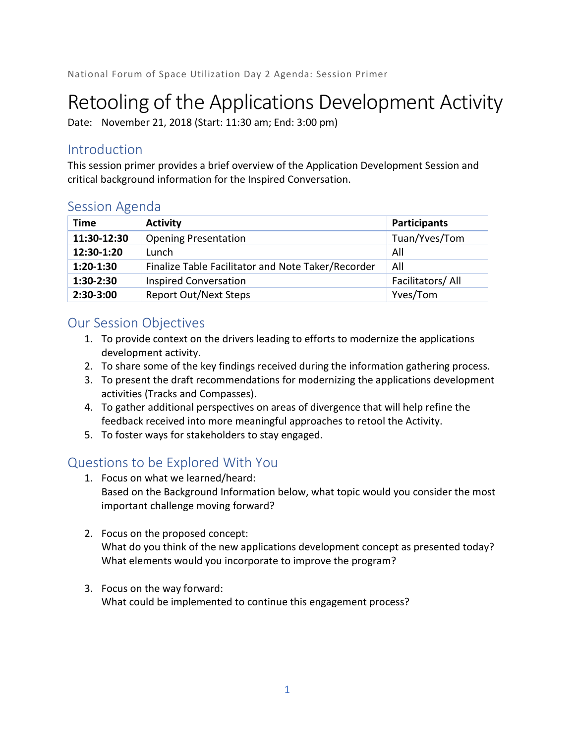# Retooling of the Applications Development Activity

Date: November 21, 2018 (Start: 11:30 am; End: 3:00 pm)

# Introduction

This session primer provides a brief overview of the Application Development Session and critical background information for the Inspired Conversation.

## Session Agenda

| <b>Time</b> | <b>Activity</b>                                    | <b>Participants</b> |
|-------------|----------------------------------------------------|---------------------|
| 11:30-12:30 | <b>Opening Presentation</b>                        | Tuan/Yves/Tom       |
| 12:30-1:20  | Lunch                                              | All                 |
| $1:20-1:30$ | Finalize Table Facilitator and Note Taker/Recorder | All                 |
| $1:30-2:30$ | <b>Inspired Conversation</b>                       | Facilitators/All    |
| $2:30-3:00$ | <b>Report Out/Next Steps</b>                       | Yves/Tom            |

## Our Session Objectives

- 1. To provide context on the drivers leading to efforts to modernize the applications development activity.
- 2. To share some of the key findings received during the information gathering process.
- 3. To present the draft recommendations for modernizing the applications development activities (Tracks and Compasses).
- 4. To gather additional perspectives on areas of divergence that will help refine the feedback received into more meaningful approaches to retool the Activity.
- 5. To foster ways for stakeholders to stay engaged.

# Questions to be Explored With You

- 1. Focus on what we learned/heard: Based on the Background Information below, what topic would you consider the most important challenge moving forward?
- 2. Focus on the proposed concept: What do you think of the new applications development concept as presented today? What elements would you incorporate to improve the program?
- 3. Focus on the way forward: What could be implemented to continue this engagement process?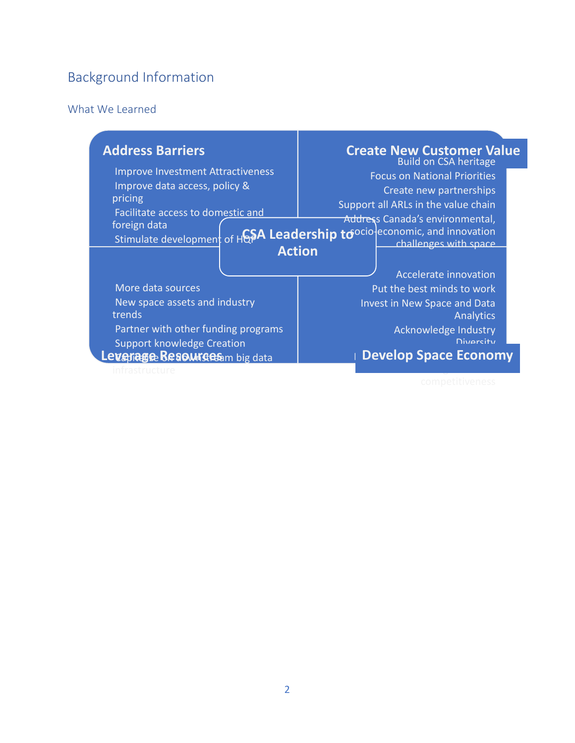# Background Information

#### What We Learned

| <b>Address Barriers</b>                                                                                                   | <b>Create New Customer Value</b><br><b>Build on CSA heritage</b>                                                                         |  |
|---------------------------------------------------------------------------------------------------------------------------|------------------------------------------------------------------------------------------------------------------------------------------|--|
| <b>Improve Investment Attractiveness</b><br>Improve data access, policy &<br>pricing<br>Facilitate access to domestic and | <b>Focus on National Priorities</b><br>Create new partnerships<br>Support all ARLs in the value chain<br>Address Canada's environmental, |  |
| foreign data<br><b>Action</b>                                                                                             | Stimulate development of HGSA Leadership to ocio economic, and innovation<br>challenges with space<br>Accelerate innovation              |  |
| More data sources                                                                                                         | Put the best minds to work                                                                                                               |  |
| New space assets and industry<br>trends                                                                                   | Invest in New Space and Data<br>Analytics                                                                                                |  |
| Partner with other funding programs                                                                                       | Acknowledge Industry                                                                                                                     |  |
| <b>Support knowledge Creation</b>                                                                                         | <b>Divorcity</b>                                                                                                                         |  |
| Levenage Resourges m big data                                                                                             | <b>Develop Space Economy</b>                                                                                                             |  |
|                                                                                                                           |                                                                                                                                          |  |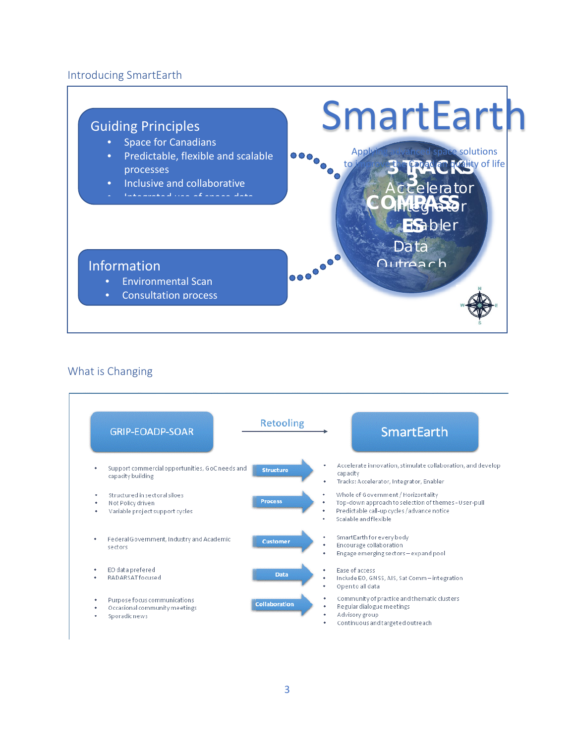#### Introducing SmartEarth



#### What is Changing